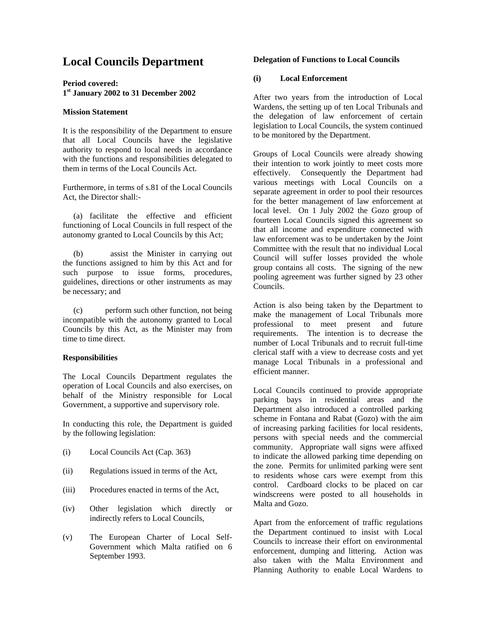# **Local Councils Department**

**Period covered: 1 st January 2002 to 31 December 2002** 

### **Mission Statement**

It is the responsibility of the Department to ensure that all Local Councils have the legislative authority to respond to local needs in accordance with the functions and responsibilities delegated to them in terms of the Local Councils Act.

Furthermore, in terms of s.81 of the Local Councils Act, the Director shall:-

(a) facilitate the effective and efficient functioning of Local Councils in full respect of the autonomy granted to Local Councils by this Act;

(b) assist the Minister in carrying out the functions assigned to him by this Act and for such purpose to issue forms, procedures, guidelines, directions or other instruments as may be necessary; and

(c) perform such other function, not being incompatible with the autonomy granted to Local Councils by this Act, as the Minister may from time to time direct.

#### **Responsibilities**

The Local Councils Department regulates the operation of Local Councils and also exercises, on behalf of the Ministry responsible for Local Government, a supportive and supervisory role.

In conducting this role, the Department is guided by the following legislation:

- (i) Local Councils Act (Cap. 363)
- (ii) Regulations issued in terms of the Act,
- (iii) Procedures enacted in terms of the Act,
- (iv) Other legislation which directly or indirectly refers to Local Councils,
- (v) The European Charter of Local Self-Government which Malta ratified on 6 September 1993.

### **Delegation of Functions to Local Councils**

## **(i) Local Enforcement**

After two years from the introduction of Local Wardens, the setting up of ten Local Tribunals and the delegation of law enforcement of certain legislation to Local Councils, the system continued to be monitored by the Department.

Groups of Local Councils were already showing their intention to work jointly to meet costs more effectively. Consequently the Department had various meetings with Local Councils on a separate agreement in order to pool their resources for the better management of law enforcement at local level. On 1 July 2002 the Gozo group of fourteen Local Councils signed this agreement so that all income and expenditure connected with law enforcement was to be undertaken by the Joint Committee with the result that no individual Local Council will suffer losses provided the whole group contains all costs. The signing of the new pooling agreement was further signed by 23 other Councils.

Action is also being taken by the Department to make the management of Local Tribunals more professional to meet present and future requirements. The intention is to decrease the number of Local Tribunals and to recruit full-time clerical staff with a view to decrease costs and yet manage Local Tribunals in a professional and efficient manner.

Local Councils continued to provide appropriate parking bays in residential areas and the Department also introduced a controlled parking scheme in Fontana and Rabat (Gozo) with the aim of increasing parking facilities for local residents, persons with special needs and the commercial community. Appropriate wall signs were affixed to indicate the allowed parking time depending on the zone. Permits for unlimited parking were sent to residents whose cars were exempt from this control. Cardboard clocks to be placed on car windscreens were posted to all households in Malta and Gozo.

Apart from the enforcement of traffic regulations the Department continued to insist with Local Councils to increase their effort on environmental enforcement, dumping and littering. Action was also taken with the Malta Environment and Planning Authority to enable Local Wardens to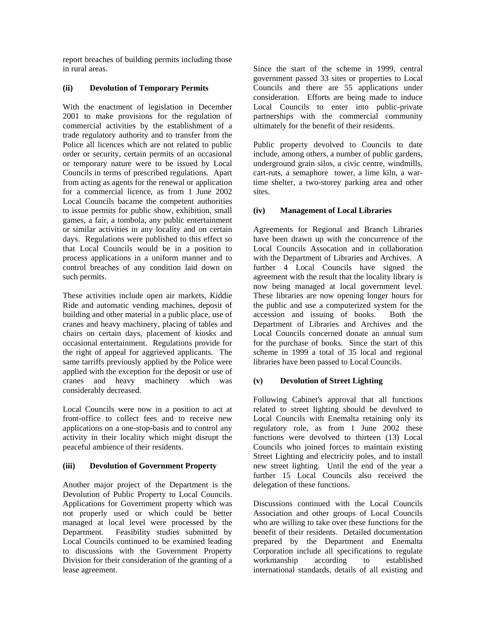report breaches of building permits including those in rural areas.

## **(ii) Devolution of Temporary Permits**

With the enactment of legislation in December 2001 to make provisions for the regulation of commercial activities by the establishment of a trade regulatory authority and to transfer from the Police all licences which are not related to public order or security, certain permits of an occasional or temporary nature were to be issued by Local Councils in terms of prescribed regulations. Apart from acting as agents for the renewal or application for a commercial licence, as from 1 June 2002 Local Councils bacame the competent authorities to issue permits for public show, exhibition, small games, a fair, a tombola, any public entertainment or similar activities in any locality and on certain days. Regulations were published to this effect so that Local Councils would be in a position to process applications in a uniform manner and to control breaches of any condition laid down on such permits.

These activities include open air markets, Kiddie Ride and automatic vending machines, deposit of building and other material in a public place, use of cranes and heavy machinery, placing of tables and chairs on certain days, placement of kiosks and occasional entertainment. Regulations provide for the right of appeal for aggrieved applicants. The same tarriffs previously applied by the Police were applied with the exception for the deposit or use of cranes and heavy machinery which was considerably decreased.

Local Councils were now in a position to act at front-office to collect fees and to receive new applications on a one-stop-basis and to control any activity in their locality which might disrupt the peaceful ambience of their residents.

## **(iii) Devolution of Government Property**

Another major project of the Department is the Devolution of Public Property to Local Councils. Applications for Government property which was not properly used or which could be better managed at local level were processed by the Department. Feasibility studies submitted by Local Councils continued to be examined leading to discussions with the Government Property Division for their consideration of the granting of a lease agreement.

Since the start of the scheme in 1999, central government passed 33 sites or properties to Local Councils and there are 55 applications under consideration. Efforts are being made to induce Local Councils to enter into public-private partnerships with the commercial community ultimately for the benefit of their residents.

Public property devolved to Councils to date include, among others, a number of public gardens, underground grain silos, a civic centre, windmills, cart-ruts, a semaphore tower, a lime kiln, a wartime shelter, a two-storey parking area and other sites.

## **(iv) Management of Local Libraries**

Agreements for Regional and Branch Libraries have been drawn up with the concurrence of the Local Councils Assocation and in collaboration with the Department of Libraries and Archives. A further 4 Local Councils have signed the agreement with the result that the locality library is now being managed at local government level. These libraries are now opening longer hours for the public and use a computerized system for the accession and issuing of books. Both the Department of Libraries and Archives and the Local Councils concerned donate an annual sum for the purchase of books. Since the start of this scheme in 1999 a total of 35 local and regional libraries have been passed to Local Councils.

## **(v) Devolution of Street Lighting**

Following Cabinet's approval that all functions related to street lighting should be devolved to Local Councils with Enemalta retaining only its regulatory role, as from 1 June 2002 these functions were devolved to thirteen (13) Local Councils who joined forces to maintain existing Street Lighting and electricity poles, and to install new street lighting. Until the end of the year a further 15 Local Councils also received the delegation of these functions.

Discussions continued with the Local Councils Association and other groups of Local Councils who are willing to take over these functions for the benefit of their residents. Detailed documentation prepared by the Department and Enemalta Corporation include all specifications to regulate workmanship according to established international standards, details of all existing and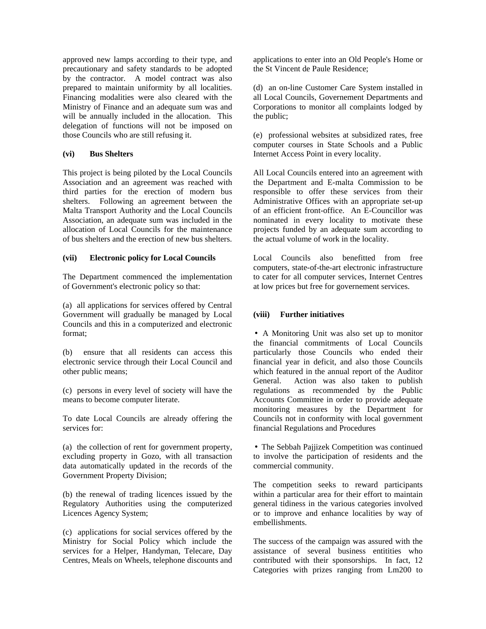approved new lamps according to their type, and precautionary and safety standards to be adopted by the contractor. A model contract was also prepared to maintain uniformity by all localities. Financing modalities were also cleared with the Ministry of Finance and an adequate sum was and will be annually included in the allocation. This delegation of functions will not be imposed on those Councils who are still refusing it.

#### **(vi) Bus Shelters**

This project is being piloted by the Local Councils Association and an agreement was reached with third parties for the erection of modern bus shelters. Following an agreement between the Malta Transport Authority and the Local Councils Association, an adequate sum was included in the allocation of Local Councils for the maintenance of bus shelters and the erection of new bus shelters.

## **(vii) Electronic policy for Local Councils**

The Department commenced the implementation of Government's electronic policy so that:

(a) all applications for services offered by Central Government will gradually be managed by Local Councils and this in a computerized and electronic format;

(b) ensure that all residents can access this electronic service through their Local Council and other public means;

(c) persons in every level of society will have the means to become computer literate.

To date Local Councils are already offering the services for:

(a) the collection of rent for government property, excluding property in Gozo, with all transaction data automatically updated in the records of the Government Property Division;

(b) the renewal of trading licences issued by the Regulatory Authorities using the computerized Licences Agency System;

(c) applications for social services offered by the Ministry for Social Policy which include the services for a Helper, Handyman, Telecare, Day Centres, Meals on Wheels, telephone discounts and applications to enter into an Old People's Home or the St Vincent de Paule Residence;

(d) an on-line Customer Care System installed in all Local Councils, Governement Departments and Corporations to monitor all complaints lodged by the public;

(e) professional websites at subsidized rates, free computer courses in State Schools and a Public Internet Access Point in every locality.

All Local Councils entered into an agreement with the Department and E-malta Commission to be responsible to offer these services from their Administrative Offices with an appropriate set-up of an efficient front-office. An E-Councillor was nominated in every locality to motivate these projects funded by an adequate sum according to the actual volume of work in the locality.

Local Councils also benefitted from free computers, state-of-the-art electronic infrastructure to cater for all computer services, Internet Centres at low prices but free for governement services.

## **(viii) Further initiatives**

• A Monitoring Unit was also set up to monitor the financial commitments of Local Councils particularly those Councils who ended their financial year in deficit, and also those Councils which featured in the annual report of the Auditor General. Action was also taken to publish regulations as recommended by the Public Accounts Committee in order to provide adequate monitoring measures by the Department for Councils not in conformity with local government financial Regulations and Procedures

• The Sebbah Pajjizek Competition was continued to involve the participation of residents and the commercial community.

The competition seeks to reward participants within a particular area for their effort to maintain general tidiness in the various categories involved or to improve and enhance localities by way of embellishments.

The success of the campaign was assured with the assistance of several business entitities who contributed with their sponsorships. In fact, 12 Categories with prizes ranging from Lm200 to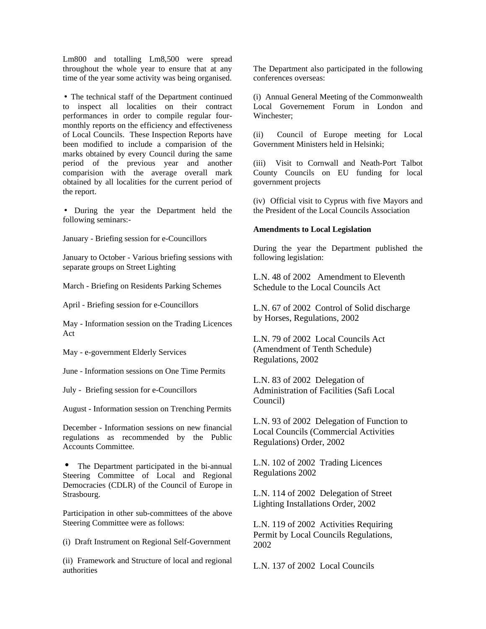Lm800 and totalling Lm8,500 were spread throughout the whole year to ensure that at any time of the year some activity was being organised.

• The technical staff of the Department continued to inspect all localities on their contract performances in order to compile regular fourmonthly reports on the efficiency and effectiveness of Local Councils. These Inspection Reports have been modified to include a comparision of the marks obtained by every Council during the same period of the previous year and another comparision with the average overall mark obtained by all localities for the current period of the report.

• During the year the Department held the following seminars:-

January - Briefing session for e-Councillors

January to October - Various briefing sessions with separate groups on Street Lighting

March - Briefing on Residents Parking Schemes

April - Briefing session for e-Councillors

May - Information session on the Trading Licences Act

May - e-government Elderly Services

June - Information sessions on One Time Permits

July - Briefing session for e-Councillors

August - Information session on Trenching Permits

December - Information sessions on new financial regulations as recommended by the Public Accounts Committee.

The Department participated in the bi-annual Steering Committee of Local and Regional Democracies (CDLR) of the Council of Europe in Strasbourg.

Participation in other sub-committees of the above Steering Committee were as follows:

(i) Draft Instrument on Regional Self-Government

(ii) Framework and Structure of local and regional authorities

The Department also participated in the following conferences overseas:

(i) Annual General Meeting of the Commonwealth Local Governement Forum in London and Winchester;

(ii) Council of Europe meeting for Local Government Ministers held in Helsinki;

(iii) Visit to Cornwall and Neath-Port Talbot County Councils on EU funding for local government projects

(iv) Official visit to Cyprus with five Mayors and the President of the Local Councils Association

#### **Amendments to Local Legislation**

During the year the Department published the following legislation:

L.N. 48 of 2002 Amendment to Eleventh Schedule to the Local Councils Act

L.N. 67 of 2002 Control of Solid discharge by Horses, Regulations, 2002

L.N. 79 of 2002 Local Councils Act (Amendment of Tenth Schedule) Regulations, 2002

L.N. 83 of 2002 Delegation of Administration of Facilities (Safi Local Council)

L.N. 93 of 2002 Delegation of Function to Local Councils (Commercial Activities Regulations) Order, 2002

L.N. 102 of 2002 Trading Licences Regulations 2002

L.N. 114 of 2002 Delegation of Street Lighting Installations Order, 2002

L.N. 119 of 2002 Activities Requiring Permit by Local Councils Regulations, 2002

L.N. 137 of 2002 Local Councils